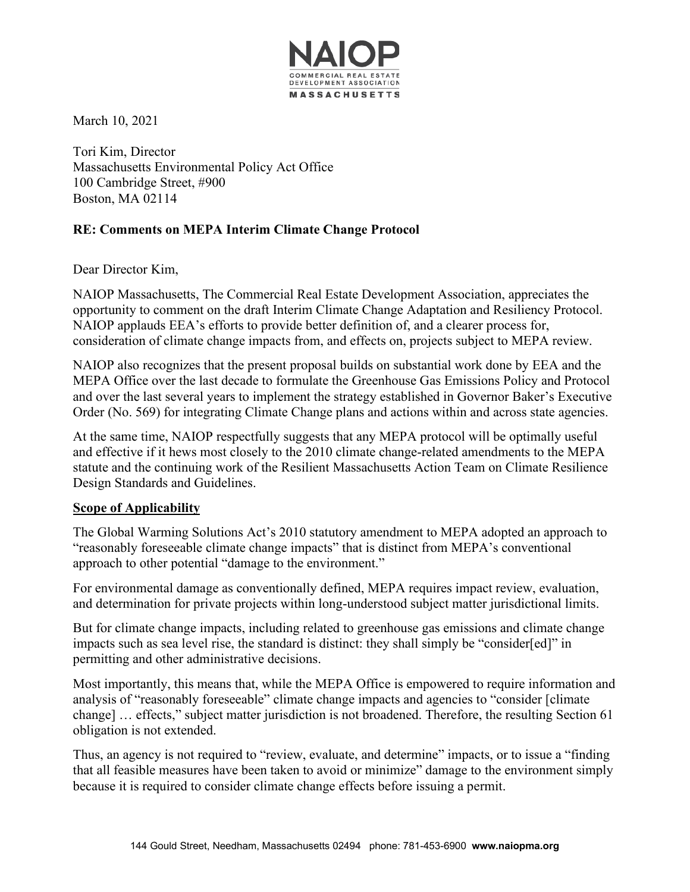

March 10, 2021

Tori Kim, Director Massachusetts Environmental Policy Act Office 100 Cambridge Street, #900 Boston, MA 02114

## **RE: Comments on MEPA Interim Climate Change Protocol**

Dear Director Kim,

NAIOP Massachusetts, The Commercial Real Estate Development Association, appreciates the opportunity to comment on the draft Interim Climate Change Adaptation and Resiliency Protocol. NAIOP applauds EEA's efforts to provide better definition of, and a clearer process for, consideration of climate change impacts from, and effects on, projects subject to MEPA review.

NAIOP also recognizes that the present proposal builds on substantial work done by EEA and the MEPA Office over the last decade to formulate the Greenhouse Gas Emissions Policy and Protocol and over the last several years to implement the strategy established in Governor Baker's Executive Order (No. 569) for integrating Climate Change plans and actions within and across state agencies.

At the same time, NAIOP respectfully suggests that any MEPA protocol will be optimally useful and effective if it hews most closely to the 2010 climate change-related amendments to the MEPA statute and the continuing work of the Resilient Massachusetts Action Team on Climate Resilience Design Standards and Guidelines.

## **Scope of Applicability**

The Global Warming Solutions Act's 2010 statutory amendment to MEPA adopted an approach to "reasonably foreseeable climate change impacts" that is distinct from MEPA's conventional approach to other potential "damage to the environment."

For environmental damage as conventionally defined, MEPA requires impact review, evaluation, and determination for private projects within long-understood subject matter jurisdictional limits.

But for climate change impacts, including related to greenhouse gas emissions and climate change impacts such as sea level rise, the standard is distinct: they shall simply be "consider[ed]" in permitting and other administrative decisions.

Most importantly, this means that, while the MEPA Office is empowered to require information and analysis of "reasonably foreseeable" climate change impacts and agencies to "consider [climate change] … effects," subject matter jurisdiction is not broadened. Therefore, the resulting Section 61 obligation is not extended.

Thus, an agency is not required to "review, evaluate, and determine" impacts, or to issue a "finding that all feasible measures have been taken to avoid or minimize" damage to the environment simply because it is required to consider climate change effects before issuing a permit.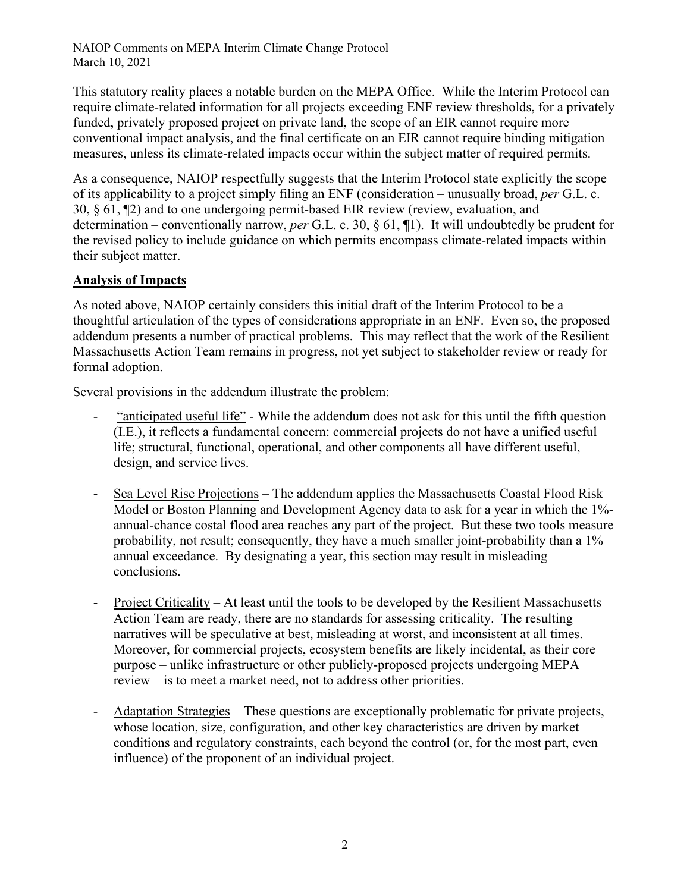NAIOP Comments on MEPA Interim Climate Change Protocol March 10, 2021

This statutory reality places a notable burden on the MEPA Office. While the Interim Protocol can require climate-related information for all projects exceeding ENF review thresholds, for a privately funded, privately proposed project on private land, the scope of an EIR cannot require more conventional impact analysis, and the final certificate on an EIR cannot require binding mitigation measures, unless its climate-related impacts occur within the subject matter of required permits.

As a consequence, NAIOP respectfully suggests that the Interim Protocol state explicitly the scope of its applicability to a project simply filing an ENF (consideration – unusually broad, *per* G.L. c. 30, § 61, ¶2) and to one undergoing permit-based EIR review (review, evaluation, and determination – conventionally narrow, *per* G.L. c. 30, § 61, ¶1). It will undoubtedly be prudent for the revised policy to include guidance on which permits encompass climate-related impacts within their subject matter.

## **Analysis of Impacts**

As noted above, NAIOP certainly considers this initial draft of the Interim Protocol to be a thoughtful articulation of the types of considerations appropriate in an ENF. Even so, the proposed addendum presents a number of practical problems. This may reflect that the work of the Resilient Massachusetts Action Team remains in progress, not yet subject to stakeholder review or ready for formal adoption.

Several provisions in the addendum illustrate the problem:

- "anticipated useful life" While the addendum does not ask for this until the fifth question (I.E.), it reflects a fundamental concern: commercial projects do not have a unified useful life; structural, functional, operational, and other components all have different useful, design, and service lives.
- Sea Level Rise Projections The addendum applies the Massachusetts Coastal Flood Risk Model or Boston Planning and Development Agency data to ask for a year in which the 1% annual-chance costal flood area reaches any part of the project. But these two tools measure probability, not result; consequently, they have a much smaller joint-probability than a 1% annual exceedance. By designating a year, this section may result in misleading conclusions.
- Project Criticality At least until the tools to be developed by the Resilient Massachusetts Action Team are ready, there are no standards for assessing criticality. The resulting narratives will be speculative at best, misleading at worst, and inconsistent at all times. Moreover, for commercial projects, ecosystem benefits are likely incidental, as their core purpose – unlike infrastructure or other publicly-proposed projects undergoing MEPA review – is to meet a market need, not to address other priorities.
- Adaptation Strategies These questions are exceptionally problematic for private projects, whose location, size, configuration, and other key characteristics are driven by market conditions and regulatory constraints, each beyond the control (or, for the most part, even influence) of the proponent of an individual project.